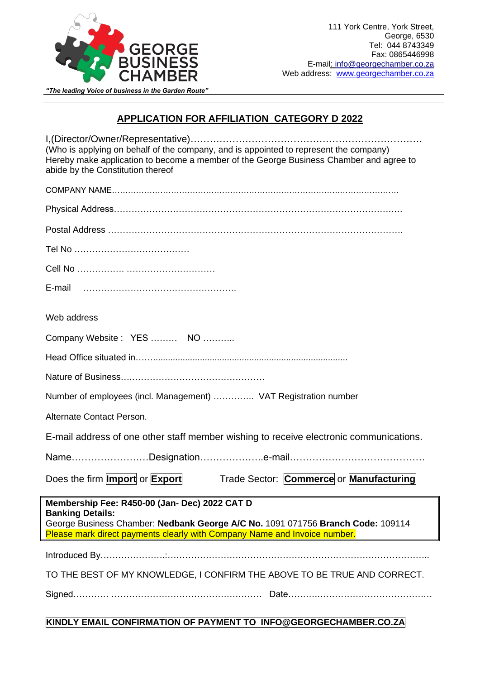

## *"The leading Voice of business in the Garden Route"*

## **APPLICATION FOR AFFILIATION CATEGORY D 2022**

| (Who is applying on behalf of the company, and is appointed to represent the company)<br>Hereby make application to become a member of the George Business Chamber and agree to<br>abide by the Constitution thereof                     |  |  |
|------------------------------------------------------------------------------------------------------------------------------------------------------------------------------------------------------------------------------------------|--|--|
|                                                                                                                                                                                                                                          |  |  |
|                                                                                                                                                                                                                                          |  |  |
|                                                                                                                                                                                                                                          |  |  |
|                                                                                                                                                                                                                                          |  |  |
|                                                                                                                                                                                                                                          |  |  |
|                                                                                                                                                                                                                                          |  |  |
| Web address                                                                                                                                                                                                                              |  |  |
| Company Website: YES  NO                                                                                                                                                                                                                 |  |  |
|                                                                                                                                                                                                                                          |  |  |
|                                                                                                                                                                                                                                          |  |  |
| Number of employees (incl. Management)  VAT Registration number                                                                                                                                                                          |  |  |
| Alternate Contact Person.                                                                                                                                                                                                                |  |  |
| E-mail address of one other staff member wishing to receive electronic communications.                                                                                                                                                   |  |  |
|                                                                                                                                                                                                                                          |  |  |
| Does the firm <b>Import</b> or <b>Export</b><br>Trade Sector: Commerce or Manufacturing                                                                                                                                                  |  |  |
| Membership Fee: R450-00 (Jan- Dec) 2022 CAT D<br><b>Banking Details:</b><br>George Business Chamber: Nedbank George A/C No. 1091 071756 Branch Code: 109114<br>Please mark direct payments clearly with Company Name and Invoice number. |  |  |
|                                                                                                                                                                                                                                          |  |  |
| TO THE BEST OF MY KNOWLEDGE, I CONFIRM THE ABOVE TO BE TRUE AND CORRECT.                                                                                                                                                                 |  |  |
|                                                                                                                                                                                                                                          |  |  |
|                                                                                                                                                                                                                                          |  |  |

## **KINDLY EMAIL CONFIRMATION OF PAYMENT TO INFO@GEORGECHAMBER.CO.ZA**